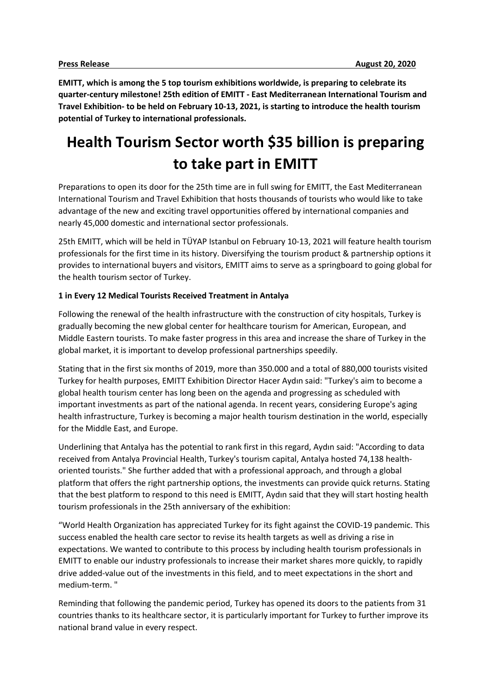**EMITT, which is among the 5 top tourism exhibitions worldwide, is preparing to celebrate its quarter-century milestone! 25th edition of EMITT - East Mediterranean International Tourism and Travel Exhibition- to be held on February 10-13, 2021, is starting to introduce the health tourism potential of Turkey to international professionals.**

# **Health Tourism Sector worth \$35 billion is preparing to take part in EMITT**

Preparations to open its door for the 25th time are in full swing for EMITT, the East Mediterranean International Tourism and Travel Exhibition that hosts thousands of tourists who would like to take advantage of the new and exciting travel opportunities offered by international companies and nearly 45,000 domestic and international sector professionals.

25th EMITT, which will be held in TÜYAP Istanbul on February 10-13, 2021 will feature health tourism professionals for the first time in its history. Diversifying the tourism product & partnership options it provides to international buyers and visitors, EMITT aims to serve as a springboard to going global for the health tourism sector of Turkey.

### **1 in Every 12 Medical Tourists Received Treatment in Antalya**

Following the renewal of the health infrastructure with the construction of city hospitals, Turkey is gradually becoming the new global center for healthcare tourism for American, European, and Middle Eastern tourists. To make faster progress in this area and increase the share of Turkey in the global market, it is important to develop professional partnerships speedily.

Stating that in the first six months of 2019, more than 350.000 and a total of 880,000 tourists visited Turkey for health purposes, EMITT Exhibition Director Hacer Aydın said: "Turkey's aim to become a global health tourism center has long been on the agenda and progressing as scheduled with important investments as part of the national agenda. In recent years, considering Europe's aging health infrastructure, Turkey is becoming a major health tourism destination in the world, especially for the Middle East, and Europe.

Underlining that Antalya has the potential to rank first in this regard, Aydın said: "According to data received from Antalya Provincial Health, Turkey's tourism capital, Antalya hosted 74,138 healthoriented tourists." She further added that with a professional approach, and through a global platform that offers the right partnership options, the investments can provide quick returns. Stating that the best platform to respond to this need is EMITT, Aydın said that they will start hosting health tourism professionals in the 25th anniversary of the exhibition:

"World Health Organization has appreciated Turkey for its fight against the COVID-19 pandemic. This success enabled the health care sector to revise its health targets as well as driving a rise in expectations. We wanted to contribute to this process by including health tourism professionals in EMITT to enable our industry professionals to increase their market shares more quickly, to rapidly drive added-value out of the investments in this field, and to meet expectations in the short and medium-term. "

Reminding that following the pandemic period, Turkey has opened its doors to the patients from 31 countries thanks to its healthcare sector, it is particularly important for Turkey to further improve its national brand value in every respect.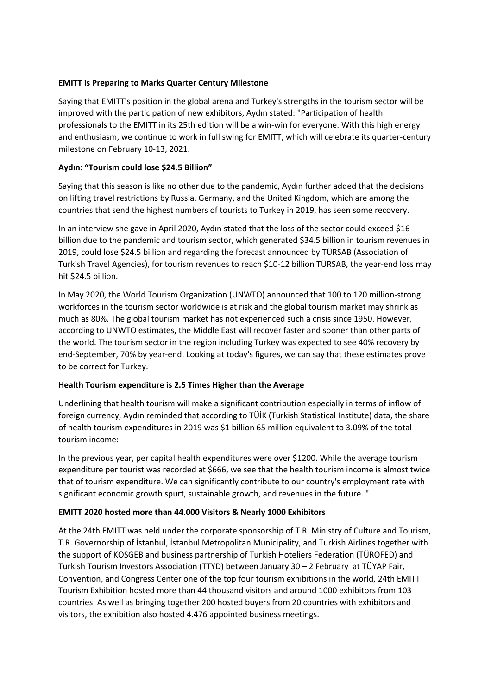## **EMITT is Preparing to Marks Quarter Century Milestone**

Saying that EMITT's position in the global arena and Turkey's strengths in the tourism sector will be improved with the participation of new exhibitors, Aydın stated: "Participation of health professionals to the EMITT in its 25th edition will be a win-win for everyone. With this high energy and enthusiasm, we continue to work in full swing for EMITT, which will celebrate its quarter-century milestone on February 10-13, 2021.

## **Aydın: "Tourism could lose \$24.5 Billion"**

Saying that this season is like no other due to the pandemic, Aydın further added that the decisions on lifting travel restrictions by Russia, Germany, and the United Kingdom, which are among the countries that send the highest numbers of tourists to Turkey in 2019, has seen some recovery.

In an interview she gave in April 2020, Aydın stated that the loss of the sector could exceed \$16 billion due to the pandemic and tourism sector, which generated \$34.5 billion in tourism revenues in 2019, could lose \$24.5 billion and regarding the forecast announced by TÜRSAB (Association of Turkish Travel Agencies), for tourism revenues to reach \$10-12 billion TÜRSAB, the year-end loss may hit \$24.5 billion.

In May 2020, the World Tourism Organization (UNWTO) announced that 100 to 120 million-strong workforces in the tourism sector worldwide is at risk and the global tourism market may shrink as much as 80%. The global tourism market has not experienced such a crisis since 1950. However, according to UNWTO estimates, the Middle East will recover faster and sooner than other parts of the world. The tourism sector in the region including Turkey was expected to see 40% recovery by end-September, 70% by year-end. Looking at today's figures, we can say that these estimates prove to be correct for Turkey.

#### **Health Tourism expenditure is 2.5 Times Higher than the Average**

Underlining that health tourism will make a significant contribution especially in terms of inflow of foreign currency, Aydın reminded that according to TÜİK (Turkish Statistical Institute) data, the share of health tourism expenditures in 2019 was \$1 billion 65 million equivalent to 3.09% of the total tourism income:

In the previous year, per capital health expenditures were over \$1200. While the average tourism expenditure per tourist was recorded at \$666, we see that the health tourism income is almost twice that of tourism expenditure. We can significantly contribute to our country's employment rate with significant economic growth spurt, sustainable growth, and revenues in the future. "

## **EMITT 2020 hosted more than 44.000 Visitors & Nearly 1000 Exhibitors**

At the 24th EMITT was held under the corporate sponsorship of T.R. Ministry of Culture and Tourism, T.R. Governorship of İstanbul, İstanbul Metropolitan Municipality, and Turkish Airlines together with the support of KOSGEB and business partnership of Turkish Hoteliers Federation (TÜROFED) and Turkish Tourism Investors Association (TTYD) between January 30 – 2 February at TÜYAP Fair, Convention, and Congress Center one of the top four tourism exhibitions in the world, 24th EMITT Tourism Exhibition hosted more than 44 thousand visitors and around 1000 exhibitors from 103 countries. As well as bringing together 200 hosted buyers from 20 countries with exhibitors and visitors, the exhibition also hosted 4.476 appointed business meetings.